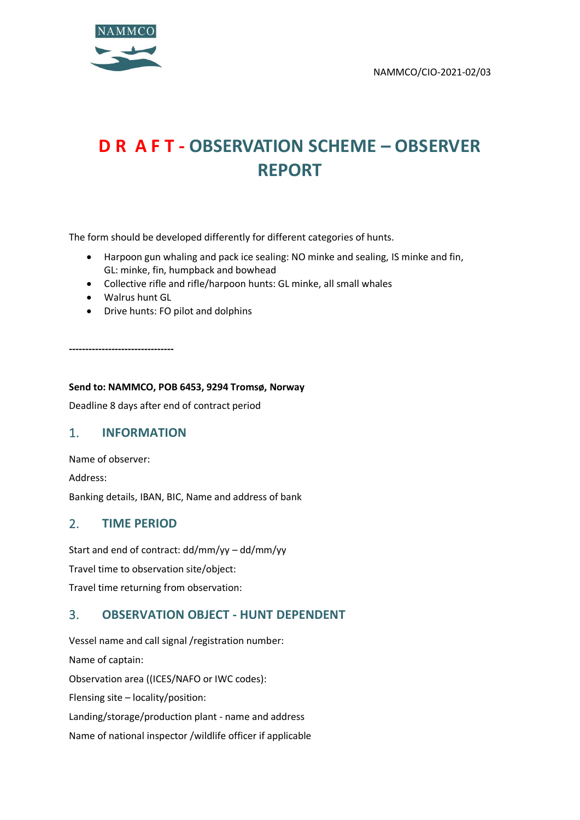

# **D R A F T - OBSERVATION SCHEME – OBSERVER REPORT**

The form should be developed differently for different categories of hunts.

- Harpoon gun whaling and pack ice sealing: NO minke and sealing, IS minke and fin, GL: minke, fin, humpback and bowhead
- Collective rifle and rifle/harpoon hunts: GL minke, all small whales
- Walrus hunt GL
- Drive hunts: FO pilot and dolphins

**--------------------------------**

#### **Send to: NAMMCO, POB 6453, 9294 Tromsø, Norway**

Deadline 8 days after end of contract period

#### 1. **INFORMATION**

Name of observer:

Address:

Banking details, IBAN, BIC, Name and address of bank

#### 2. **TIME PERIOD**

Start and end of contract: dd/mm/yy – dd/mm/yy Travel time to observation site/object: Travel time returning from observation:

## 3. **OBSERVATION OBJECT - HUNT DEPENDENT**

Vessel name and call signal /registration number: Name of captain: Observation area ((ICES/NAFO or IWC codes): Flensing site – locality/position: Landing/storage/production plant - name and address Name of national inspector /wildlife officer if applicable